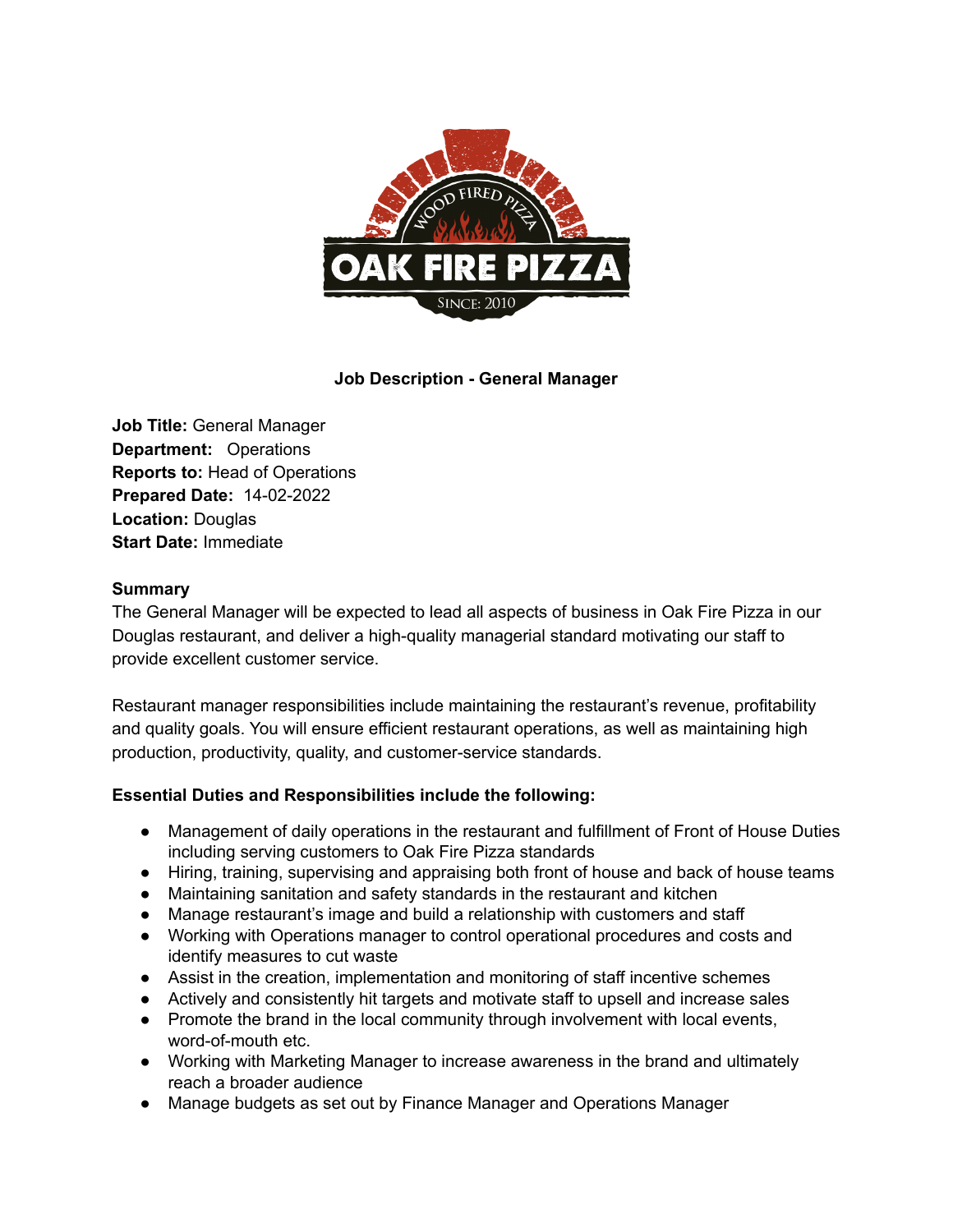

## **Job Description - General Manager**

**Job Title:** General Manager **Department:** Operations **Reports to:** Head of Operations **Prepared Date:** 14-02-2022 **Location:** Douglas **Start Date:** Immediate

## **Summary**

The General Manager will be expected to lead all aspects of business in Oak Fire Pizza in our Douglas restaurant, and deliver a high-quality managerial standard motivating our staff to provide excellent customer service.

Restaurant manager responsibilities include maintaining the restaurant's revenue, profitability and quality goals. You will ensure efficient restaurant operations, as well as maintaining high production, productivity, quality, and customer-service standards.

## **Essential Duties and Responsibilities include the following:**

- Management of daily operations in the restaurant and fulfillment of Front of House Duties including serving customers to Oak Fire Pizza standards
- Hiring, training, supervising and appraising both front of house and back of house teams
- Maintaining sanitation and safety standards in the restaurant and kitchen
- Manage restaurant's image and build a relationship with customers and staff
- Working with Operations manager to control operational procedures and costs and identify measures to cut waste
- Assist in the creation, implementation and monitoring of staff incentive schemes
- Actively and consistently hit targets and motivate staff to upsell and increase sales
- Promote the brand in the local community through involvement with local events, word-of-mouth etc.
- Working with Marketing Manager to increase awareness in the brand and ultimately reach a broader audience
- Manage budgets as set out by Finance Manager and Operations Manager